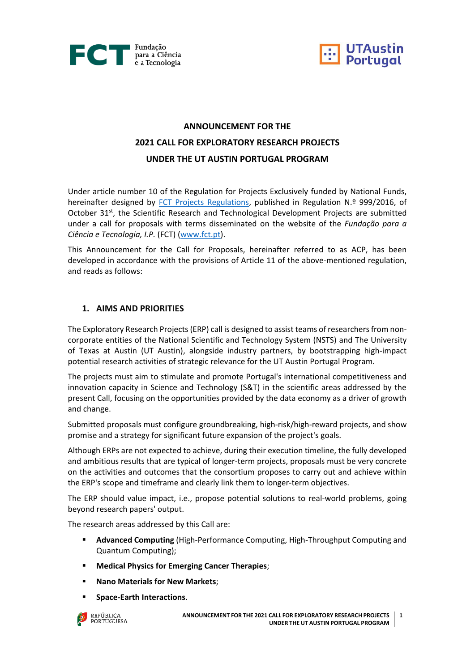



# **ANNOUNCEMENT FOR THE 2021 CALL FOR EXPLORATORY RESEARCH PROJECTS UNDER THE UT AUSTIN PORTUGAL PROGRAM**

Under article number 10 of the Regulation for Projects Exclusively funded by National Funds, hereinafter designed by [FCT Projects Regulations,](https://www.fct.pt/apoios/projectos/regulamentofundosnacionais.phtml.en) published in Regulation N.º 999/2016, of October 31<sup>st</sup>, the Scientific Research and Technological Development Projects are submitted under a call for proposals with terms disseminated on the website of the *Fundação para a Ciência e Tecnologia, I.P.* (FCT) [\(www.fct.pt\)](http://www.fct.pt/).

This Announcement for the Call for Proposals, hereinafter referred to as ACP, has been developed in accordance with the provisions of Article 11 of the above-mentioned regulation, and reads as follows:

## **1. AIMS AND PRIORITIES**

The Exploratory Research Projects (ERP) call is designed to assist teams of researchers from noncorporate entities of the National Scientific and Technology System (NSTS) and The University of Texas at Austin (UT Austin), alongside industry partners, by bootstrapping high-impact potential research activities of strategic relevance for the UT Austin Portugal Program.

The projects must aim to stimulate and promote Portugal's international competitiveness and innovation capacity in Science and Technology (S&T) in the scientific areas addressed by the present Call, focusing on the opportunities provided by the data economy as a driver of growth and change.

Submitted proposals must configure groundbreaking, high-risk/high-reward projects, and show promise and a strategy for significant future expansion of the project's goals.

Although ERPs are not expected to achieve, during their execution timeline, the fully developed and ambitious results that are typical of longer-term projects, proposals must be very concrete on the activities and outcomes that the consortium proposes to carry out and achieve within the ERP's scope and timeframe and clearly link them to longer-term objectives.

The ERP should value impact, i.e., propose potential solutions to real-world problems, going beyond research papers' output.

The research areas addressed by this Call are:

- **Advanced Computing** (High-Performance Computing, High-Throughput Computing and Quantum Computing);
- **Medical Physics for Emerging Cancer Therapies;**
- **Nano Materials for New Markets**;
- **Space-Earth Interactions**.

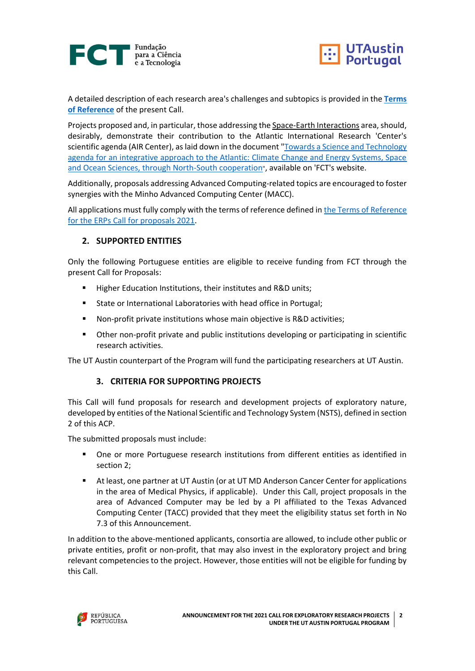



A detailed description of each research area's challenges and subtopics is provided in the **[Terms](https://www.fct.pt/apoios/projectos/concursos/utaustin/2021/UTAustin2021_Terms_of_Reference.pdf)  [of Reference](https://www.fct.pt/apoios/projectos/concursos/utaustin/2021/UTAustin2021_Terms_of_Reference.pdf)** of the present Call.

Projects proposed and, in particular, those addressing the Space-Earth Interactions area, should, desirably, demonstrate their contribution to the Atlantic International Research 'Center's scientific agenda (AIR Center), as laid down in the document ["Towards a Science and Technology](https://www.fct.pt/media/conferencias/docs/AIRCenter_whitepaper.pdf)  [agenda for an integrative approach to the Atlantic: Climate Change and Energy Systems, Space](https://www.fct.pt/media/conferencias/docs/AIRCenter_whitepaper.pdf)  [and Ocean Sciences, through North-South cooperation](https://www.fct.pt/media/conferencias/docs/AIRCenter_whitepaper.pdf)", available on 'FCT's website.

Additionally, proposals addressing Advanced Computing-related topics are encouraged to foster synergies with the Minho Advanced Computing Center (MACC).

All applications must fully comply with the terms of reference defined in [the Terms of Reference](https://www.fct.pt/apoios/projectos/concursos/utaustin/2021/UTAustin2021_Terms_of_Reference.pdf)  [for the ERPs Call for proposals 2021.](https://www.fct.pt/apoios/projectos/concursos/utaustin/2021/UTAustin2021_Terms_of_Reference.pdf)

## **2. SUPPORTED ENTITIES**

Only the following Portuguese entities are eligible to receive funding from FCT through the present Call for Proposals:

- Higher Education Institutions, their institutes and R&D units;
- State or International Laboratories with head office in Portugal;
- Non-profit private institutions whose main objective is R&D activities;
- Other non-profit private and public institutions developing or participating in scientific research activities.

The UT Austin counterpart of the Program will fund the participating researchers at UT Austin.

## **3. CRITERIA FOR SUPPORTING PROJECTS**

This Call will fund proposals for research and development projects of exploratory nature, developed by entities of the National Scientific and Technology System (NSTS), defined in section 2 of this ACP.

The submitted proposals must include:

- One or more Portuguese research institutions from different entities as identified in section 2;
- At least, one partner at UT Austin (or at UT MD Anderson Cancer Center for applications in the area of Medical Physics, if applicable). Under this Call, project proposals in the area of Advanced Computer may be led by a PI affiliated to the Texas Advanced Computing Center (TACC) provided that they meet the eligibility status set forth in No 7.3 of this Announcement.

In addition to the above-mentioned applicants, consortia are allowed, to include other public or private entities, profit or non-profit, that may also invest in the exploratory project and bring relevant competencies to the project. However, those entities will not be eligible for funding by this Call.

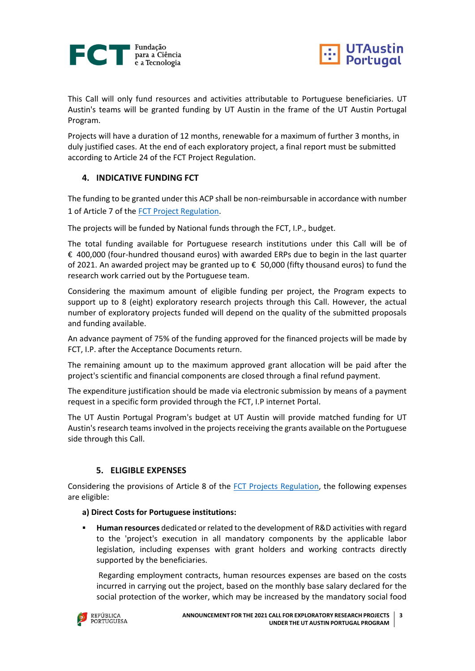



This Call will only fund resources and activities attributable to Portuguese beneficiaries. UT Austin's teams will be granted funding by UT Austin in the frame of the UT Austin Portugal Program.

Projects will have a duration of 12 months, renewable for a maximum of further 3 months, in duly justified cases. At the end of each exploratory project, a final report must be submitted according to Article 24 of the FCT Project Regulation.

## **4. INDICATIVE FUNDING FCT**

The funding to be granted under this ACP shall be non-reimbursable in accordance with number 1 of Article 7 of the [FCT Project Regulation.](https://www.fct.pt/apoios/projectos/regulamentofundosnacionais.phtml.en)

The projects will be funded by National funds through the FCT, I.P., budget.

The total funding available for Portuguese research institutions under this Call will be of €\_400,000 (four-hundred thousand euros) with awarded ERPs due to begin in the last quarter of 2021. An awarded project may be granted up to € 50,000 (fifty thousand euros) to fund the research work carried out by the Portuguese team.

Considering the maximum amount of eligible funding per project, the Program expects to support up to 8 (eight) exploratory research projects through this Call. However, the actual number of exploratory projects funded will depend on the quality of the submitted proposals and funding available.

An advance payment of 75% of the funding approved for the financed projects will be made by FCT, I.P. after the Acceptance Documents return.

The remaining amount up to the maximum approved grant allocation will be paid after the project's scientific and financial components are closed through a final refund payment.

The expenditure justification should be made via electronic submission by means of a payment request in a specific form provided through the FCT, I.P internet Portal.

The UT Austin Portugal Program's budget at UT Austin will provide matched funding for UT Austin's research teams involved in the projects receiving the grants available on the Portuguese side through this Call.

## **5. ELIGIBLE EXPENSES**

Considering the provisions of Article 8 of the [FCT Projects Regulation,](https://www.fct.pt/apoios/projectos/regulamentofundosnacionais.phtml.en) the following expenses are eligible:

#### **a) Direct Costs for Portuguese institutions:**

▪ **Human resources** dedicated or related to the development of R&D activities with regard to the 'project's execution in all mandatory components by the applicable labor legislation, including expenses with grant holders and working contracts directly supported by the beneficiaries.

Regarding employment contracts, human resources expenses are based on the costs incurred in carrying out the project, based on the monthly base salary declared for the social protection of the worker, which may be increased by the mandatory social food

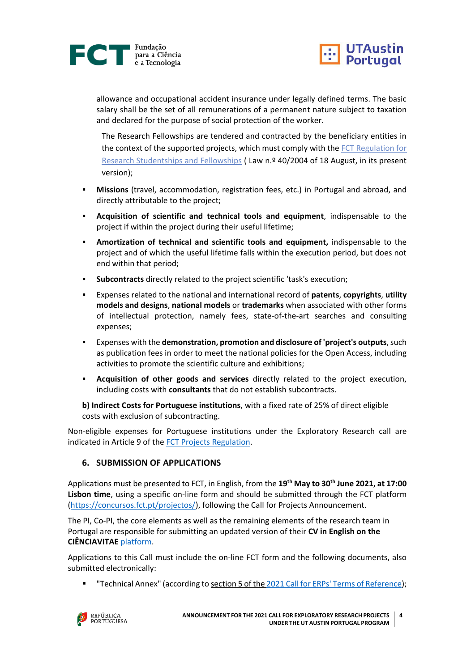



allowance and occupational accident insurance under legally defined terms. The basic salary shall be the set of all remunerations of a permanent nature subject to taxation and declared for the purpose of social protection of the worker.

The Research Fellowships are tendered and contracted by the beneficiary entities in the context of the supported projects, which must comply with the [FCT Regulation for](https://dre.pt/web/guest/legislacao-consolidada/-/lc/124281176/201908280100/diploma?did=58216179&_LegislacaoConsolidada_WAR_drefrontofficeportlet_rp=indice)  [Research Studentships and Fellowships](https://dre.pt/web/guest/legislacao-consolidada/-/lc/124281176/201908280100/diploma?did=58216179&_LegislacaoConsolidada_WAR_drefrontofficeportlet_rp=indice) ( Law n.º 40/2004 of 18 August, in its present version);

- **Missions** (travel, accommodation, registration fees, etc.) in Portugal and abroad, and directly attributable to the project;
- **Acquisition of scientific and technical tools and equipment**, indispensable to the project if within the project during their useful lifetime;
- **Amortization of technical and scientific tools and equipment,** indispensable to the project and of which the useful lifetime falls within the execution period, but does not end within that period;
- **Subcontracts** directly related to the project scientific 'task's execution;
- Expenses related to the national and international record of **patents**, **copyrights**, **utility models and designs**, **national models** or **trademarks** when associated with other forms of intellectual protection, namely fees, state-of-the-art searches and consulting expenses;
- Expenses with the **demonstration, promotion and disclosure of 'project's outputs**, such as publication fees in order to meet the national policies for the Open Access, including activities to promote the scientific culture and exhibitions;
- **Acquisition of other goods and services** directly related to the project execution, including costs with **consultants** that do not establish subcontracts.

**b) Indirect Costs for Portuguese institutions**, with a fixed rate of 25% of direct eligible costs with exclusion of subcontracting.

Non-eligible expenses for Portuguese institutions under the Exploratory Research call are indicated in Article 9 of the [FCT Projects Regulation.](https://www.fct.pt/apoios/projectos/regulamentofundosnacionais.phtml.en)

## **6. SUBMISSION OF APPLICATIONS**

Applications must be presented to FCT, in English, from the **19th May to 30th June 2021, at 17:00 Lisbon time**, using a specific on-line form and should be submitted through the FCT platform [\(https://concursos.fct.pt/projectos/\)](https://concursos.fct.pt/projectos/), following the Call for Projects Announcement.

The PI, Co-PI, the core elements as well as the remaining elements of the research team in Portugal are responsible for submitting an updated version of their **CV in English on the CIÊNCIAVITAE** [platform.](https://www.cienciavitae.pt/?lang=en)

Applications to this Call must include the on-line FCT form and the following documents, also submitted electronically:

"Technical Annex" (according to section 5 of the 2021 Call for ERPs' [Terms of Reference\)](https://www.fct.pt/apoios/projectos/concursos/utaustin/2021/UTAustin2021_Terms_of_Reference.pdf);

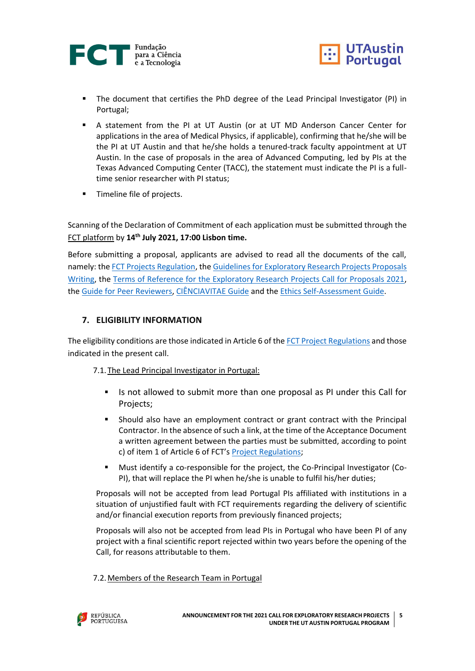



- The document that certifies the PhD degree of the Lead Principal Investigator (PI) in Portugal;
- A statement from the PI at UT Austin (or at UT MD Anderson Cancer Center for applications in the area of Medical Physics, if applicable), confirming that he/she will be the PI at UT Austin and that he/she holds a tenured-track faculty appointment at UT Austin. In the case of proposals in the area of Advanced Computing, led by PIs at the Texas Advanced Computing Center (TACC), the statement must indicate the PI is a fulltime senior researcher with PI status;
- Timeline file of projects.

Scanning of the Declaration of Commitment of each application must be submitted through the FCT platform by **14th July 2021, 17:00 Lisbon time.**

Before submitting a proposal, applicants are advised to read all the documents of the call, namely: the [FCT Projects Regulation,](https://www.fct.pt/apoios/projectos/regulamentofundosnacionais.phtml.en) the [Guidelines for Exploratory Research Projects Proposals](https://www.fct.pt/apoios/projectos/concursos/utaustin/2021/UTAustin2021_Guiao_Candidatura.pdf)  [Writing,](https://www.fct.pt/apoios/projectos/concursos/utaustin/2021/UTAustin2021_Guiao_Candidatura.pdf) the [Terms of Reference for the Exploratory Research Projects Call for Proposals 2021,](https://www.fct.pt/apoios/projectos/concursos/utaustin/2021/UTAustin2021_Terms_of_Reference.pdf) the [Guide for Peer Reviewers,](https://www.fct.pt/apoios/projectos/concursos/utaustin/2021/UTAustin2021_Guide_Peer_Reviewers.pdf) [CIÊNCIAVITAE Guide](https://www.fct.pt/apoios/projectos/concursos/ICDT/docs/GuiaodeCandidatura_CIENCIAVITAE_EN_2021.pdf) and the [Ethics Self-Assessment Guide.](https://www.fct.pt/apoios/projectos/concursos/ICDT/docs/ICDT_Ethics_Self_Assessment_Guide.pdf)

## **7. ELIGIBILITY INFORMATION**

The eligibility conditions are those indicated in Article 6 of th[e FCT Project Regulations](https://www.fct.pt/apoios/projectos/regulamentofundosnacionais.phtml.en) and those indicated in the present call.

## 7.1.The Lead Principal Investigator in Portugal:

- **■** Is not allowed to submit more than one proposal as PI under this Call for Projects;
- **■** Should also have an employment contract or grant contract with the Principal Contractor. In the absence of such a link, at the time of the Acceptance Document a written agreement between the parties must be submitted, according to point c) of item 1 of Article 6 of FCT's [Project Regulations;](https://www.fct.pt/apoios/projectos/regulamentofundosnacionais.phtml.en)
- Must identify a co-responsible for the project, the Co-Principal Investigator (Co-PI), that will replace the PI when he/she is unable to fulfil his/her duties;

Proposals will not be accepted from lead Portugal PIs affiliated with institutions in a situation of unjustified fault with FCT requirements regarding the delivery of scientific and/or financial execution reports from previously financed projects;

Proposals will also not be accepted from lead PIs in Portugal who have been PI of any project with a final scientific report rejected within two years before the opening of the Call, for reasons attributable to them.

## 7.2.Members of the Research Team in Portugal

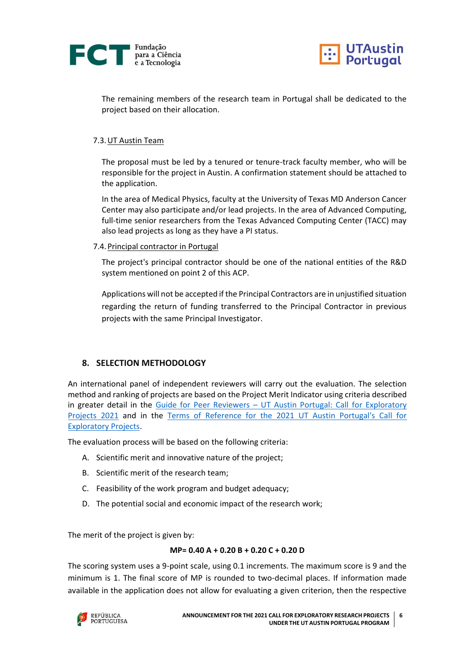



The remaining members of the research team in Portugal shall be dedicated to the project based on their allocation.

#### 7.3.UT Austin Team

The proposal must be led by a tenured or tenure-track faculty member, who will be responsible for the project in Austin. A confirmation statement should be attached to the application.

In the area of Medical Physics, faculty at the University of Texas MD Anderson Cancer Center may also participate and/or lead projects. In the area of Advanced Computing, full-time senior researchers from the Texas Advanced Computing Center (TACC) may also lead projects as long as they have a PI status.

#### 7.4.Principal contractor in Portugal

The project's principal contractor should be one of the national entities of the R&D system mentioned on point 2 of this ACP.

Applications will not be accepted if the Principal Contractors are in unjustified situation regarding the return of funding transferred to the Principal Contractor in previous projects with the same Principal Investigator.

## **8. SELECTION METHODOLOGY**

An international panel of independent reviewers will carry out the evaluation. The selection method and ranking of projects are based on the Project Merit Indicator using criteria described in greater detail in the Guide for Peer Reviewers – [UT Austin Portugal: Call for Exploratory](https://www.fct.pt/apoios/projectos/concursos/utaustin/2021/UTAustin2021_Guide_Peer_Reviewers.pdf)  [Projects](https://www.fct.pt/apoios/projectos/concursos/utaustin/2021/UTAustin2021_Guide_Peer_Reviewers.pdf) 2021 and in the [Terms of Reference for the 2021 UT Austin Portugal's Call for](https://www.fct.pt/apoios/projectos/concursos/utaustin/2021/UTAustin2021_Terms_of_Reference.pdf)  [Exploratory Projects.](https://www.fct.pt/apoios/projectos/concursos/utaustin/2021/UTAustin2021_Terms_of_Reference.pdf)

The evaluation process will be based on the following criteria:

- A. Scientific merit and innovative nature of the project;
- B. Scientific merit of the research team;
- C. Feasibility of the work program and budget adequacy;
- D. The potential social and economic impact of the research work;

The merit of the project is given by:

#### **MP= 0.40 A + 0.20 B + 0.20 C + 0.20 D**

The scoring system uses a 9-point scale, using 0.1 increments. The maximum score is 9 and the minimum is 1. The final score of MP is rounded to two-decimal places. If information made available in the application does not allow for evaluating a given criterion, then the respective